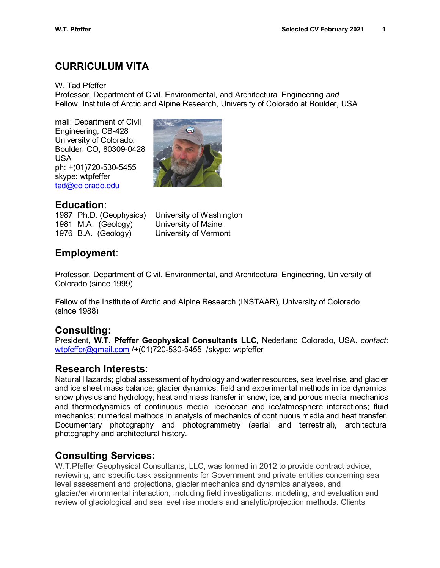# **CURRICULUM VITA**

W. Tad Pfeffer

Professor, Department of Civil, Environmental, and Architectural Engineering *and* Fellow, Institute of Arctic and Alpine Research, University of Colorado at Boulder, USA

mail: Department of Civil Engineering, CB-428 University of Colorado, Boulder, CO, 80309-0428 USA ph: +(01)720-530-5455 skype: wtpfeffer [tad@colorado.edu](mailto:tad@colorado.edu)



## **Education**:

1987 Ph.D. (Geophysics) University of Washington 1981 M.A. (Geology) University of Maine 1976 B.A. (Geology) University of Vermont

# **Employment**:

Professor, Department of Civil, Environmental, and Architectural Engineering, University of Colorado (since 1999)

Fellow of the Institute of Arctic and Alpine Research (INSTAAR), University of Colorado (since 1988)

# **Consulting:**

President, **W.T. Pfeffer Geophysical Consultants LLC**, Nederland Colorado, USA. *contact*: [wtpfeffer@gmail.com](mailto:wtpfeffer@gmail.com) /+(01)720-530-5455 /skype: wtpfeffer

## **Research Interests**:

Natural Hazards; global assessment of hydrology and water resources, sea level rise, and glacier and ice sheet mass balance; glacier dynamics; field and experimental methods in ice dynamics, snow physics and hydrology; heat and mass transfer in snow, ice, and porous media; mechanics and thermodynamics of continuous media; ice/ocean and ice/atmosphere interactions; fluid mechanics; numerical methods in analysis of mechanics of continuous media and heat transfer. Documentary photography and photogrammetry (aerial and terrestrial), architectural photography and architectural history.

# **Consulting Services:**

W.T.Pfeffer Geophysical Consultants, LLC, was formed in 2012 to provide contract advice, reviewing, and specific task assignments for Government and private entities concerning sea level assessment and projections, glacier mechanics and dynamics analyses, and glacier/environmental interaction, including field investigations, modeling, and evaluation and review of glaciological and sea level rise models and analytic/projection methods. Clients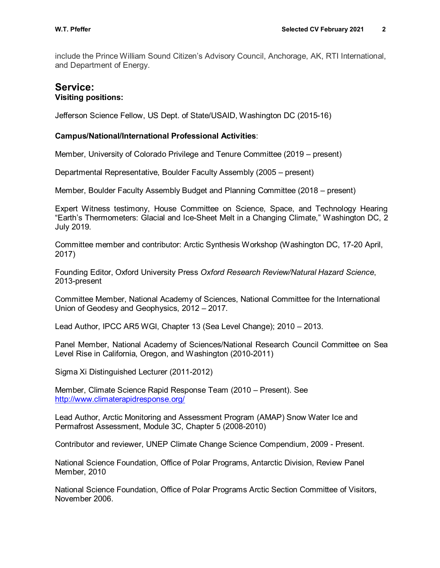include the Prince William Sound Citizen's Advisory Council, Anchorage, AK, RTI International, and Department of Energy.

### **Service: Visiting positions:**

Jefferson Science Fellow, US Dept. of State/USAID, Washington DC (2015-16)

#### **Campus/National/International Professional Activities**:

Member, University of Colorado Privilege and Tenure Committee (2019 – present)

Departmental Representative, Boulder Faculty Assembly (2005 – present)

Member, Boulder Faculty Assembly Budget and Planning Committee (2018 – present)

Expert Witness testimony, House Committee on Science, Space, and Technology Hearing "Earth's Thermometers: Glacial and Ice-Sheet Melt in a Changing Climate," Washington DC, 2 July 2019.

Committee member and contributor: Arctic Synthesis Workshop (Washington DC, 17-20 April, 2017)

Founding Editor, Oxford University Press *Oxford Research Review/Natural Hazard Science*, 2013-present

Committee Member, National Academy of Sciences, National Committee for the International Union of Geodesy and Geophysics, 2012 – 2017.

Lead Author, IPCC AR5 WGI, Chapter 13 (Sea Level Change); 2010 – 2013.

Panel Member, National Academy of Sciences/National Research Council Committee on Sea Level Rise in California, Oregon, and Washington (2010-2011)

Sigma Xi Distinguished Lecturer (2011-2012)

Member, Climate Science Rapid Response Team (2010 – Present). See <http://www.climaterapidresponse.org/>

Lead Author, Arctic Monitoring and Assessment Program (AMAP) Snow Water Ice and Permafrost Assessment, Module 3C, Chapter 5 (2008-2010)

Contributor and reviewer, UNEP Climate Change Science Compendium, 2009 - Present.

National Science Foundation, Office of Polar Programs, Antarctic Division, Review Panel Member, 2010

National Science Foundation, Office of Polar Programs Arctic Section Committee of Visitors, November 2006.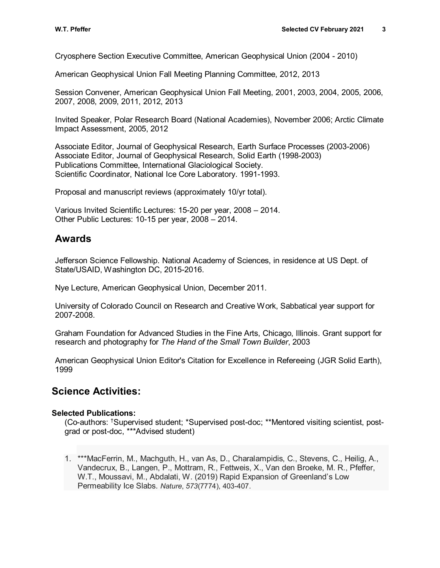Cryosphere Section Executive Committee, American Geophysical Union (2004 - 2010)

American Geophysical Union Fall Meeting Planning Committee, 2012, 2013

Session Convener, American Geophysical Union Fall Meeting, 2001, 2003, 2004, 2005, 2006, 2007, 2008, 2009, 2011, 2012, 2013

Invited Speaker, Polar Research Board (National Academies), November 2006; Arctic Climate Impact Assessment, 2005, 2012

Associate Editor, Journal of Geophysical Research, Earth Surface Processes (2003-2006) Associate Editor, Journal of Geophysical Research, Solid Earth (1998-2003) Publications Committee, International Glaciological Society. Scientific Coordinator, National Ice Core Laboratory. 1991-1993.

Proposal and manuscript reviews (approximately 10/yr total).

Various Invited Scientific Lectures: 15-20 per year, 2008 – 2014. Other Public Lectures: 10-15 per year, 2008 – 2014.

## **Awards**

Jefferson Science Fellowship. National Academy of Sciences, in residence at US Dept. of State/USAID, Washington DC, 2015-2016.

Nye Lecture, American Geophysical Union, December 2011.

University of Colorado Council on Research and Creative Work, Sabbatical year support for 2007-2008.

Graham Foundation for Advanced Studies in the Fine Arts, Chicago, Illinois. Grant support for research and photography for *The Hand of the Small Town Builder*, 2003

American Geophysical Union Editor's Citation for Excellence in Refereeing (JGR Solid Earth), 1999

## **Science Activities:**

#### **Selected Publications:**

(Co-authors: †Supervised student; \*Supervised post-doc; \*\*Mentored visiting scientist, postgrad or post-doc, \*\*\*Advised student)

1. \*\*\*MacFerrin, M., Machguth, H., van As, D., Charalampidis, C., Stevens, C., Heilig, A., Vandecrux, B., Langen, P., Mottram, R., Fettweis, X., Van den Broeke, M. R., Pfeffer, W.T., Moussavi, M., Abdalati, W. (2019) Rapid Expansion of Greenland's Low Permeability Ice Slabs. *Nature*, *573*(7774), 403-407.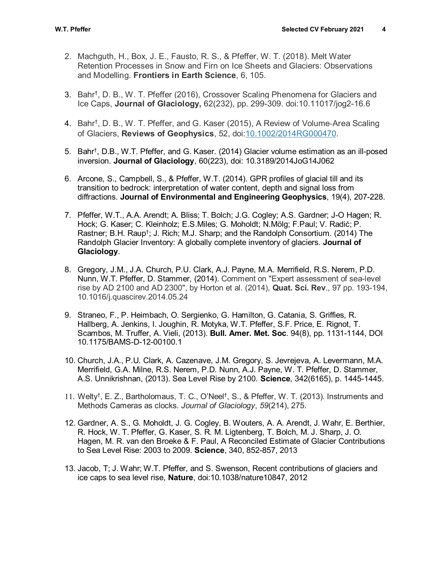- 2. Machguth, H., Box, J. E., Fausto, R. S., & Pfeffer, W. T. (2018). Melt Water Retention Processes in Snow and Firn on Ice Sheets and Glaciers: Observations and Modelling. **Frontiers in Earth Science**, 6, 105.
- 3. Bahr† , D. B., W. T. Pfeffer (2016), Crossover Scaling Phenomena for Glaciers and Ice Caps, **Journal of Glaciology,** 62(232), pp. 299-309. doi:10.11017/jog2-16.6
- 4. Bahr†, D. B., W. T. Pfeffer, and G. Kaser (2015), A Review of Volume‐Area Scaling of Glaciers, **Reviews of Geophysics**, 52, doi[:10.1002/2014RG000470.](http://dx.doi.org/10.1002/2014RG000470)
- 5. Bahr† , D.B., W.T. Pfeffer, and G. Kaser. (2014) Glacier volume estimation as an ill-posed inversion. **Journal of Glaciology**, 60(223), doi: 10.3189/2014JoG14J062
- 6. Arcone, S., Campbell, S., & Pfeffer, W.T. (2014). GPR profiles of glacial till and its transition to bedrock: interpretation of water content, depth and signal loss from diffractions. **Journal of Environmental and Engineering Geophysics**, 19(4), 207-228.
- 7. Pfeffer, W.T., A.A. Arendt; A. Bliss; T. Bolch; J.G. Cogley; A.S. Gardner; J-O Hagen; R. Hock; G. Kaser; C. Kleinholz; E.S.Miles; G. Moholdt; N.Mölg; F.Paul; V. Radić; P. Rastner; B.H. Raup<sup>†</sup>; J. Rich; M.J. Sharp; and the Randolph Consortium. (2014) The Randolph Glacier Inventory: A globally complete inventory of glaciers. **Journal of Glaciology**.
- 8. Gregory, J.M., J.A. Church, P.U. Clark, A.J. Payne, M.A. Merrifield, R.S. Nerem, P.D. Nunn, W.T. Pfeffer, D. Stammer, (2014). Comment on "Expert assessment of sea-level rise by AD 2100 and AD 2300", by Horton et al. (2014), **Quat. Sci. Rev**., 97 pp. 193-194, 10.1016/j.quascirev.2014.05.24
- 9. Straneo, F., P. Heimbach, O. Sergienko, G. Hamilton, G. Catania, S. Griffies, R. Hallberg, A. Jenkins, I. Joughin, R. Motyka, W.T. Pfeffer, S.F. Price, E. Rignot, T. Scambos, M. Truffer, A. Vieli, (2013). **Bull. Amer. Met. Soc**. 94(8), pp. 1131-1144, DOI 10.1175/BAMS-D-12-00100.1
- 10. Church, J.A., P.U. Clark, A. Cazenave, J.M. Gregory, S. Jevrejeva, A. Levermann, M.A. Merrifield, G.A. Milne, R.S. Nerem, P.D. Nunn, A.J. Payne, W. T. Pfeffer, D. Stammer, A.S. Unnikrishnan, (2013). Sea Level Rise by 2100. **Science**, 342(6165), p. 1445-1445.
- 11. Welty†, E. Z., Bartholomaus, T. C., O'Neel†, S., & Pfeffer, W. T. (2013). Instruments and Methods Cameras as clocks. *Journal of Glaciology*, *59*(214), 275.
- 12. Gardner, A. S., G. Moholdt, J. G. Cogley, B. Wouters, A. A. Arendt, J. Wahr, E. Berthier, R. Hock, W. T. Pfeffer, G. Kaser, S. R. M. Ligtenberg, T. Bolch, M. J. Sharp, J. O. Hagen, M. R. van den Broeke & F. Paul, A Reconciled Estimate of Glacier Contributions to Sea Level Rise: 2003 to 2009. **Science**, 340, 852-857, 2013
- 13. Jacob, T; J. Wahr; W.T. Pfeffer, and S. Swenson, Recent contributions of glaciers and ice caps to sea level rise, **Nature**, doi:10.1038/nature10847, 2012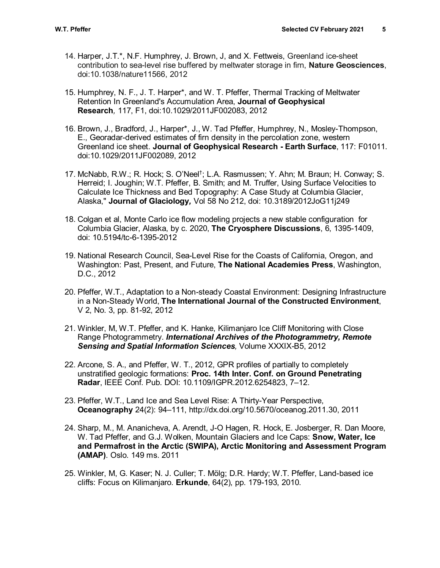- 14. Harper, J.T.\*, N.F. Humphrey, J. Brown, J, and X. Fettweis, Greenland ice-sheet contribution to sea-level rise buffered by meltwater storage in firn, **Nature Geosciences**, doi:10.1038/nature11566, 2012
- 15. Humphrey, N. F., J. T. Harper\*, and W. T. Pfeffer, Thermal Tracking of Meltwater Retention In Greenland's Accumulation Area, **Journal of Geophysical Research***,* 117, F1, doi:10.1029/2011JF002083, 2012
- 16. Brown, J., Bradford, J., Harper\*, J., [W. Tad Pfeffer,](http://instaar.colorado.edu/people/w-tad-pfeffer/) Humphrey, N., Mosley-Thompson, E., Georadar-derived estimates of firn density in the percolation zone, western Greenland ice sheet. **Journal of Geophysical Research - Earth Surface**, 117: F01011. doi:10.1029/2011JF002089, 2012
- 17. McNabb, R.W.; R. Hock; S. O'Neel†; L.A. Rasmussen; Y. Ahn; M. Braun; H. Conway; S. Herreid; I. Joughin; W.T. Pfeffer, B. Smith; and M. Truffer, Using Surface Velocities to Calculate Ice Thickness and Bed Topography: A Case Study at Columbia Glacier, Alaska," **Journal of Glaciology***,* Vol 58 No 212, doi: 10.3189/2012JoG11j249
- 18. Colgan et al, Monte Carlo ice flow modeling projects a new stable configuration for Columbia Glacier, Alaska, by c. 2020, **The Cryosphere Discussions**, 6, 1395-1409, doi: 10.5194/tc-6-1395-2012
- 19. National Research Council, Sea-Level Rise for the Coasts of California, Oregon, and Washington: Past, Present, and Future, **The National Academies Press**, Washington, D.C., 2012
- 20. Pfeffer, W.T., Adaptation to a Non-steady Coastal Environment: Designing Infrastructure in a Non-Steady World, **The International Journal of the Constructed Environment**, V 2, No. 3, pp. 81-92, 2012
- 21. Winkler, M, W.T. Pfeffer, and K. Hanke, Kilimanjaro Ice Cliff Monitoring with Close Range Photogrammetry. *International Archives of the Photogrammetry, Remote Sensing and Spatial Information Sciences,* Volume XXXIX-B5, 2012
- 22. Arcone, S. A., and Pfeffer, W. T., 2012, GPR profiles of partially to completely unstratified geologic formations: **Proc. 14th Inter. Conf. on Ground Penetrating Radar**, IEEE Conf. Pub. DOI: 10.1109/IGPR.2012.6254823, 7–12.
- 23. Pfeffer, W.T., [Land Ice and Sea Level Rise: A Thirty-Year Perspective,](http://www.tos.org/oceanography/archive/24-2_pfeffer.html) **Oceanography** 24(2): 94–111, http://dx.doi.org/10.5670/oceanog.2011.30, 2011
- 24. Sharp, M., M. Ananicheva, A. Arendt, J-O Hagen, R. Hock, E. Josberger, R. Dan Moore, W. Tad Pfeffer, and G.J. Wolken, Mountain Glaciers and Ice Caps: **Snow, Water, Ice and Permafrost in the Arctic (SWIPA), Arctic Monitoring and Assessment Program (AMAP)**. Oslo. 149 ms. 2011
- 25. Winkler, M, G. Kaser; N. J. Culler; T. Mölg; D.R. Hardy; W.T. Pfeffer, Land-based ice cliffs: Focus on Kilimanjaro. **Erkunde**, 64(2), pp. 179-193, 2010.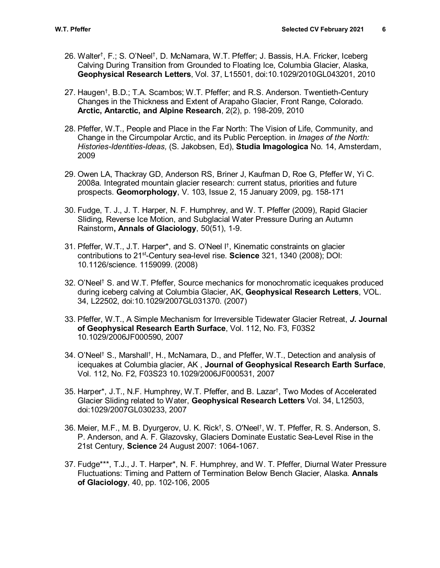- 26. Walter<sup>t</sup>, F.; S. O'Neel<sup>†</sup>, D. McNamara, W.T. Pfeffer; J. Bassis, H.A. Fricker, Iceberg Calving During Transition from Grounded to Floating Ice, Columbia Glacier, Alaska, **Geophysical Research Letters**, Vol. 37, L15501, doi:10.1029/2010GL043201, 2010
- 27. Haugen† , B.D.; T.A. Scambos; W.T. Pfeffer; and R.S. Anderson. Twentieth-Century Changes in the Thickness and Extent of Arapaho Glacier, Front Range, Colorado. **Arctic, Antarctic, and Alpine Research**, 2(2), p. 198-209, 2010
- 28. Pfeffer, W.T., People and Place in the Far North: The Vision of Life, Community, and Change in the Circumpolar Arctic, and its Public Perception. in *Images of the North: Histories-Identities-Ideas,* (S. Jakobsen, Ed), **Studia Imagologica** No. 14, Amsterdam, 2009
- 29. Owen LA, Thackray GD, Anderson RS, Briner J, Kaufman D, Roe G, Pfeffer W, Yi C. 2008a. Integrated mountain glacier research: current status, priorities and future prospects. **Geomorphology**, V. 103, Issue 2, 15 January 2009, pg. 158-171
- 30. Fudge, T. J., J. T. Harper, N. F. Humphrey, and W. T. Pfeffer (2009), Rapid Glacier Sliding, Reverse Ice Motion, and Subglacial Water Pressure During an Autumn Rainstorm**, Annals of Glaciology**, 50(51), 1-9.
- 31. Pfeffer, W.T., J.T. Harper\*, and S. O'Neel l †, Kinematic constraints on glacier contributions to 21st-Century sea-level rise. **Science** 321, 1340 (2008); DOI: 10.1126/science. 1159099. (2008)
- 32. O'Neel† S. and W.T. Pfeffer, Source mechanics for monochromatic icequakes produced during iceberg calving at Columbia Glacier, AK, **Geophysical Research Letters**, VOL. 34, L22502, doi:10.1029/2007GL031370. (2007)
- 33. Pfeffer, W.T., A Simple Mechanism for Irreversible Tidewater Glacier Retreat, *J.* **Journal of Geophysical Research Earth Surface**, Vol. 112, No. F3, F03S2 10.1029/2006JF000590, 2007
- 34. O'Neel† S., Marshall†, H., McNamara, D., and Pfeffer, W.T., Detection and analysis of icequakes at Columbia glacier, AK , **Journal of Geophysical Research Earth Surface**, Vol. 112, No. F2, F03S23 10.1029/2006JF000531, 2007
- 35. Harper\*, J.T., N.F. Humphrey, W.T. Pfeffer, and B. Lazar† , Two Modes of Accelerated Glacier Sliding related to Water, **Geophysical Research Letters** Vol. 34, L12503, doi:1029/2007GL030233, 2007
- 36. Meier, M.F., M. B. Dyurgerov, U. K. Rick† , S. O'Neel† , W. T. Pfeffer, R. S. Anderson, S. P. Anderson, and A. F. Glazovsky, Glaciers Dominate Eustatic Sea-Level Rise in the 21st Century, **Science** 24 August 2007: 1064-1067.
- 37. Fudge\*\*\*, T.J., J. T. Harper\*, N. F. Humphrey, and W. T. Pfeffer, Diurnal Water Pressure Fluctuations: Timing and Pattern of Termination Below Bench Glacier, Alaska. **Annals of Glaciology**, 40, pp. 102-106, 2005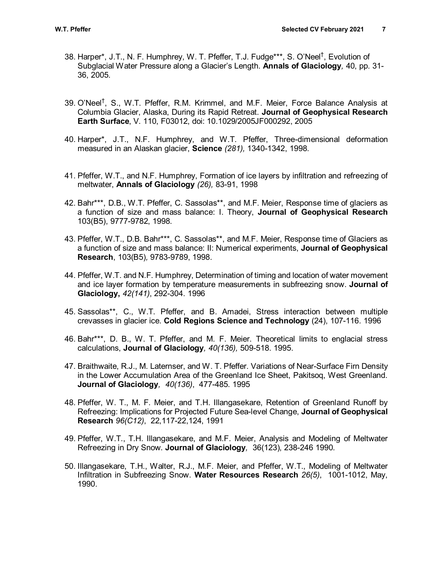- 38. Harper\*, J.T., N. F. Humphrey, W. T. Pfeffer, T.J. Fudge\*\*\*, S. O'Neel<sup>†</sup>, Evolution of Subglacial Water Pressure along a Glacier's Length. **Annals of Glaciology***,* 40, pp. 31- 36, 2005.
- 39. O'Neel† , S., W.T. Pfeffer, R.M. Krimmel, and M.F. Meier, Force Balance Analysis at Columbia Glacier, Alaska, During its Rapid Retreat. **Journal of Geophysical Research Earth Surface**, V. 110, F03012, doi: 10.1029/2005JF000292, 2005
- 40. Harper\*, J.T., N.F. Humphrey, and W.T. Pfeffer, Three-dimensional deformation measured in an Alaskan glacier, **Science** *(281),* 1340-1342, 1998.
- 41. Pfeffer, W.T., and N.F. Humphrey, Formation of ice layers by infiltration and refreezing of meltwater, **Annals of Glaciology** *(26),* 83-91, 1998
- 42. Bahr\*\*\*, D.B., W.T. Pfeffer, C. Sassolas\*\*, and M.F. Meier, Response time of glaciers as a function of size and mass balance: I. Theory, **Journal of Geophysical Research** 103(B5), 9777-9782, 1998.
- 43. Pfeffer, W.T., D.B. Bahr\*\*\*, C. Sassolas\*\*, and M.F. Meier, Response time of Glaciers as a function of size and mass balance: II: Numerical experiments, **Journal of Geophysical Research**, 103(B5)*,* 9783-9789, 1998.
- 44. Pfeffer, W.T. and N.F. Humphrey, Determination of timing and location of water movement and ice layer formation by temperature measurements in subfreezing snow. **Journal of Glaciology,** *42(141)*, 292-304. 1996
- 45. Sassolas\*\*, C., W.T. Pfeffer, and B. Amadei, Stress interaction between multiple crevasses in glacier ice. **Cold Regions Science and Technology** (24), 107-116. 1996
- 46. Bahr\*\*\*, D. B., W. T. Pfeffer, and M. F. Meier. Theoretical limits to englacial stress calculations, **Journal of Glaciology***, 40(136),* 509-518. 1995.
- 47. Braithwaite, R.J., M. Laternser, and W. T. Pfeffer. Variations of Near-Surface Firn Density in the Lower Accumulation Area of the Greenland Ice Sheet, Pakitsoq, West Greenland. **Journal of Glaciology***, 40(136)*, 477-485. 1995
- 48. Pfeffer, W. T., M. F. Meier, and T.H. Illangasekare, Retention of Greenland Runoff by Refreezing: Implications for Projected Future Sea-level Change, **Journal of Geophysical Research** *96(C12)*, 22,117-22,124, 1991
- 49. Pfeffer, W.T., T.H. Illangasekare, and M.F. Meier, Analysis and Modeling of Meltwater Refreezing in Dry Snow. **Journal of Glaciology***,* 36(123), 238-246 1990.
- 50. Illangasekare, T.H., Walter, R.J., M.F. Meier, and Pfeffer, W.T., Modeling of Meltwater Infiltration in Subfreezing Snow. **Water Resources Research** *26(5)*, 1001-1012, May, 1990.